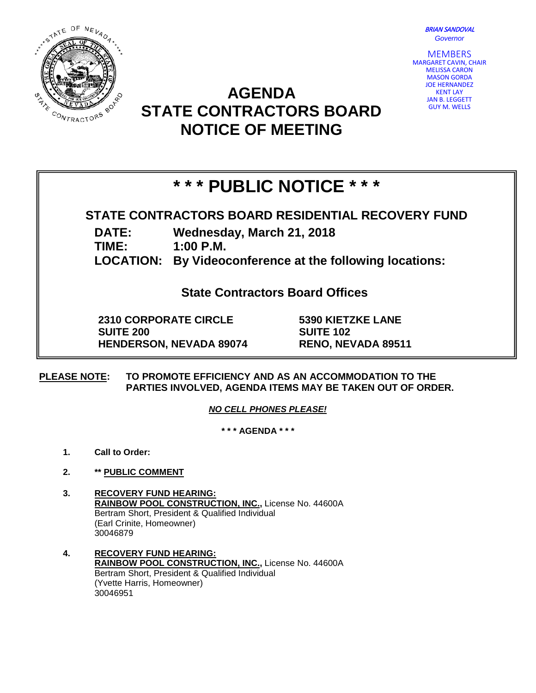BRIAN SANDOVAL *Governor*



## **AGENDA STATE CONTRACTORS BOARD NOTICE OF MEETING**



# **\* \* \* PUBLIC NOTICE \* \* \***

### **STATE CONTRACTORS BOARD RESIDENTIAL RECOVERY FUND**

**DATE: Wednesday, March 21, 2018**

**TIME: 1:00 P.M.**

**LOCATION: By Videoconference at the following locations:**

**State Contractors Board Offices**

**2310 CORPORATE CIRCLE SUITE 200 HENDERSON, NEVADA 89074** **5390 KIETZKE LANE SUITE 102 RENO, NEVADA 89511**

**PLEASE NOTE: TO PROMOTE EFFICIENCY AND AS AN ACCOMMODATION TO THE PARTIES INVOLVED, AGENDA ITEMS MAY BE TAKEN OUT OF ORDER.**

*NO CELL PHONES PLEASE!* 

**\* \* \* AGENDA \* \* \***

- **1. Call to Order:**
- **2. \*\* PUBLIC COMMENT**
- **3. RECOVERY FUND HEARING: RAINBOW POOL CONSTRUCTION, INC.,** License No. 44600A Bertram Short, President & Qualified Individual (Earl Crinite, Homeowner) 30046879
- **4. RECOVERY FUND HEARING: RAINBOW POOL CONSTRUCTION, INC.,** License No. 44600A Bertram Short, President & Qualified Individual (Yvette Harris, Homeowner) 30046951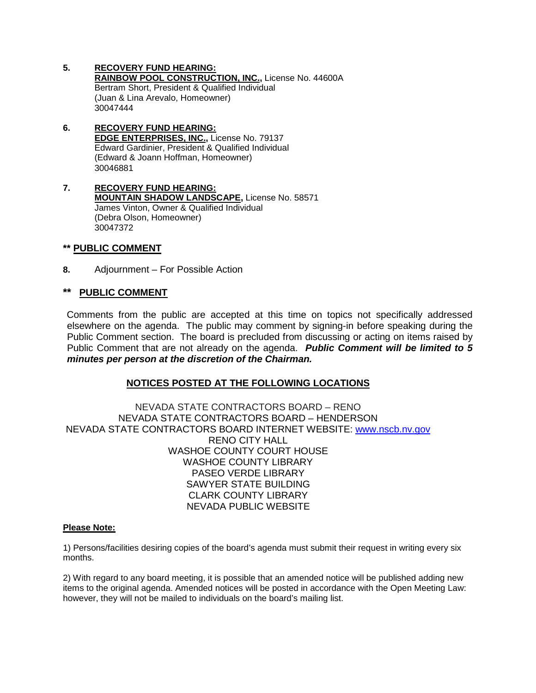- **5. RECOVERY FUND HEARING: RAINBOW POOL CONSTRUCTION, INC.,** License No. 44600A Bertram Short, President & Qualified Individual (Juan & Lina Arevalo, Homeowner) 30047444
- **6. RECOVERY FUND HEARING: EDGE ENTERPRISES, INC.,** License No. 79137 Edward Gardinier, President & Qualified Individual (Edward & Joann Hoffman, Homeowner) 30046881
- **7. RECOVERY FUND HEARING: MOUNTAIN SHADOW LANDSCAPE,** License No. 58571 James Vinton, Owner & Qualified Individual (Debra Olson, Homeowner) 30047372

#### **\*\* PUBLIC COMMENT**

**8.** Adjournment – For Possible Action

#### **\*\* PUBLIC COMMENT**

Comments from the public are accepted at this time on topics not specifically addressed elsewhere on the agenda. The public may comment by signing-in before speaking during the Public Comment section. The board is precluded from discussing or acting on items raised by Public Comment that are not already on the agenda. *Public Comment will be limited to 5 minutes per person at the discretion of the Chairman.*

#### **NOTICES POSTED AT THE FOLLOWING LOCATIONS**

NEVADA STATE CONTRACTORS BOARD – RENO NEVADA STATE CONTRACTORS BOARD – HENDERSON NEVADA STATE CONTRACTORS BOARD INTERNET WEBSITE: [www.nscb.nv.gov](http://www.nscb.nv.gov/) RENO CITY HALL WASHOE COUNTY COURT HOUSE WASHOE COUNTY LIBRARY PASEO VERDE LIBRARY SAWYER STATE BUILDING CLARK COUNTY LIBRARY NEVADA PUBLIC WEBSITE

#### **Please Note:**

1) Persons/facilities desiring copies of the board's agenda must submit their request in writing every six months.

2) With regard to any board meeting, it is possible that an amended notice will be published adding new items to the original agenda. Amended notices will be posted in accordance with the Open Meeting Law: however, they will not be mailed to individuals on the board's mailing list.